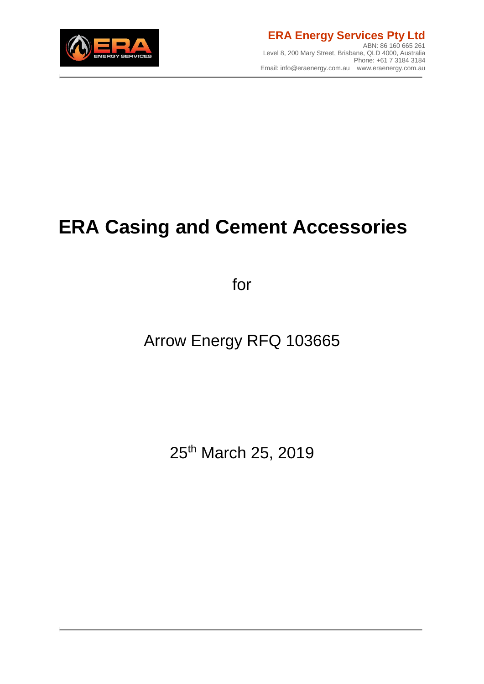

# **ERA Casing and Cement Accessories**

for

# Arrow Energy RFQ 103665

25<sup>th</sup> March 25, 2019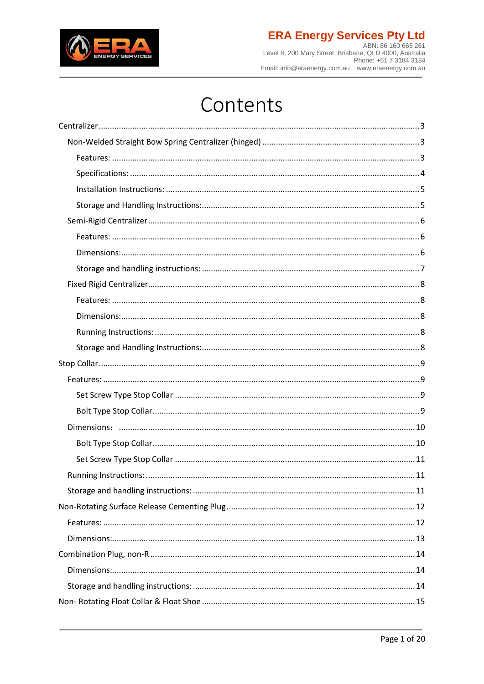

# Contents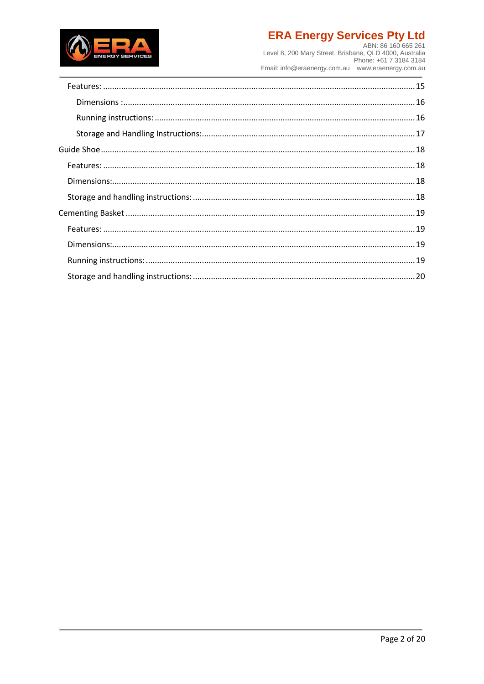

**ERA Energy Services Pty Ltd**<br>ABN: 86 160 665 261<br>Level 8, 200 Mary Street, Brisbane, QLD 4000, Australia<br>Phone: +61 7 3184 3184 Email: info@eraenergy.com.au www.eraenergy.com.au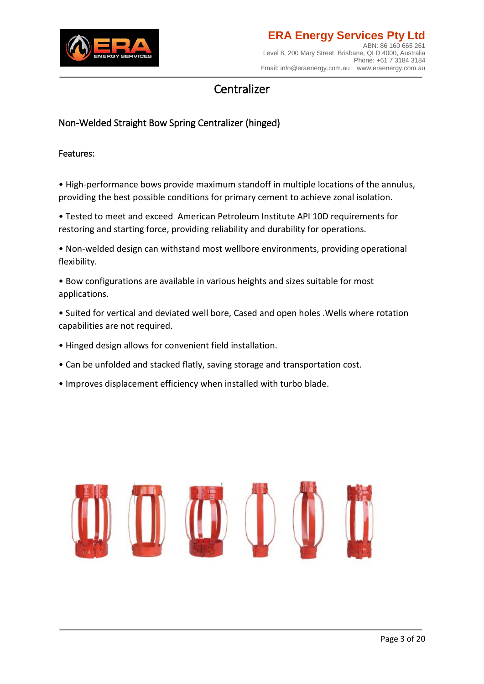

# Centralizer

#### <span id="page-3-1"></span><span id="page-3-0"></span>Non-Welded Straight Bow Spring Centralizer (hinged)

#### <span id="page-3-2"></span>Features:

• High-performance bows provide maximum standoff in multiple locations of the annulus, providing the best possible conditions for primary cement to achieve zonal isolation.

• Tested to meet and exceed American Petroleum Institute API 10D requirements for restoring and starting force, providing reliability and durability for operations.

• Non-welded design can withstand most wellbore environments, providing operational flexibility.

• Bow configurations are available in various heights and sizes suitable for most applications.

• Suited for vertical and deviated well bore, Cased and open holes .Wells where rotation capabilities are not required.

- Hinged design allows for convenient field installation.
- Can be unfolded and stacked flatly, saving storage and transportation cost.
- Improves displacement efficiency when installed with turbo blade.

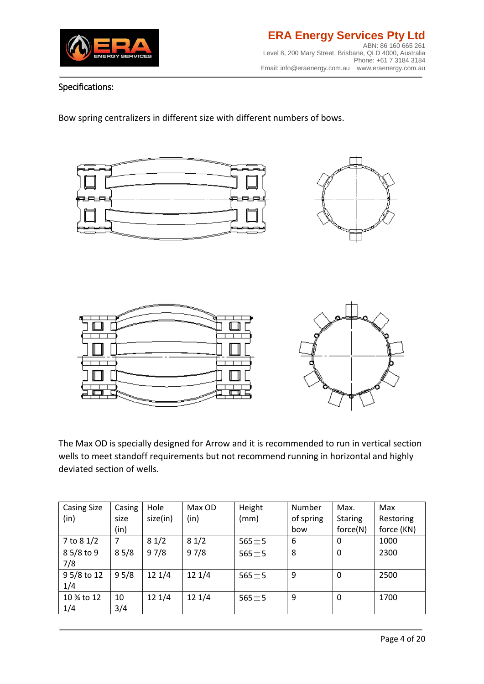

<span id="page-4-0"></span>Specifications:

Bow spring centralizers in different size with different numbers of bows.



The Max OD is specially designed for Arrow and it is recommended to run in vertical section wells to meet standoff requirements but not recommend running in horizontal and highly deviated section of wells.

| <b>Casing Size</b> | Casing | Hole     | Max OD | Height      | Number    | Max.           | Max        |
|--------------------|--------|----------|--------|-------------|-----------|----------------|------------|
| (in)               | size   | size(in) | (in)   | (mm)        | of spring | <b>Staring</b> | Restoring  |
|                    | (in)   |          |        |             | bow       | force(N)       | force (KN) |
| 7 to 8 1/2         | 7      | 81/2     | 81/2   | $565 \pm 5$ | 6         | 0              | 1000       |
| 8 5/8 to 9         | 85/8   | 97/8     | 97/8   | $565 \pm 5$ | 8         | 0              | 2300       |
| 7/8                |        |          |        |             |           |                |            |
| 9 5/8 to 12        | 95/8   | 121/4    | 121/4  | $565 \pm 5$ | 9         | $\Omega$       | 2500       |
| 1/4                |        |          |        |             |           |                |            |
| 10 % to 12         | 10     | 121/4    | 121/4  | $565 \pm 5$ | 9         | 0              | 1700       |
| 1/4                | 3/4    |          |        |             |           |                |            |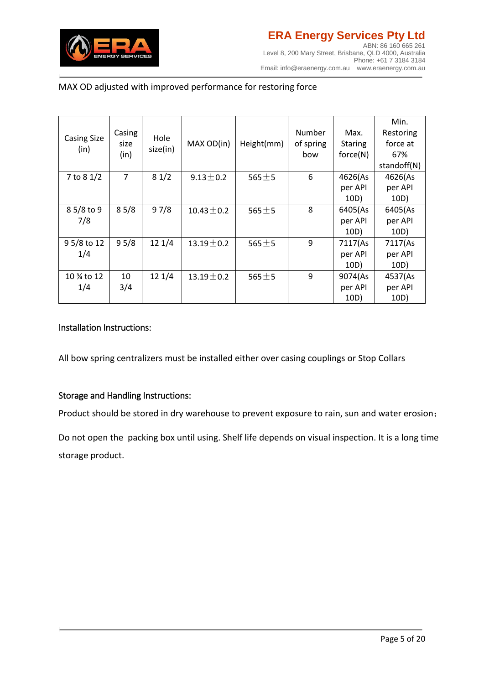

#### MAX OD adjusted with improved performance for restoring force

| <b>Casing Size</b><br>(in)           | Casing<br>size<br>(in) | Hole<br>size(in) | MAX OD(in)      | Height(mm)  | Number<br>of spring<br>bow | Max.<br><b>Staring</b><br>force(N) | Min.<br>Restoring<br>force at<br>67% |
|--------------------------------------|------------------------|------------------|-----------------|-------------|----------------------------|------------------------------------|--------------------------------------|
|                                      |                        |                  |                 |             |                            |                                    | standoff(N)                          |
| 7 to 8 1/2                           | $\overline{7}$         | 81/2             | $9.13 \pm 0.2$  | $565 \pm 5$ | 6                          | 4626(As                            | 4626(As                              |
|                                      |                        |                  |                 |             |                            | per API                            | per API                              |
|                                      |                        |                  |                 |             |                            | 10D)                               | 10D)                                 |
| 8 5/8 to 9                           | 85/8                   | 97/8             | $10.43 \pm 0.2$ | $565 + 5$   | 8                          | 6405(As                            | 6405(As                              |
| 7/8                                  |                        |                  |                 |             |                            | per API                            | per API                              |
|                                      |                        |                  |                 |             |                            | 10D)                               | 10D)                                 |
| 9 5/8 to 12                          | 95/8                   | 12 1/4           | $13.19 \pm 0.2$ | $565 \pm 5$ | 9                          | 7117(As                            | 7117(As                              |
| 1/4                                  |                        |                  |                 |             |                            | per API                            | per API                              |
|                                      |                        |                  |                 |             |                            | 10D)                               | 10D)                                 |
| 10 <sup>3</sup> ⁄ <sub>4</sub> to 12 | 10                     | 12 1/4           | $13.19 \pm 0.2$ | $565 \pm 5$ | 9                          | 9074(As                            | 4537(As                              |
| 1/4                                  | 3/4                    |                  |                 |             |                            | per API                            | per API                              |
|                                      |                        |                  |                 |             |                            | 10D)                               | 10D)                                 |

#### <span id="page-5-0"></span>Installation Instructions:

All bow spring centralizers must be installed either over casing couplings or Stop Collars

#### <span id="page-5-1"></span>Storage and Handling Instructions:

Product should be stored in dry warehouse to prevent exposure to rain, sun and water erosion;

Do not open the packing box until using. Shelf life depends on visual inspection. It is a long time storage product.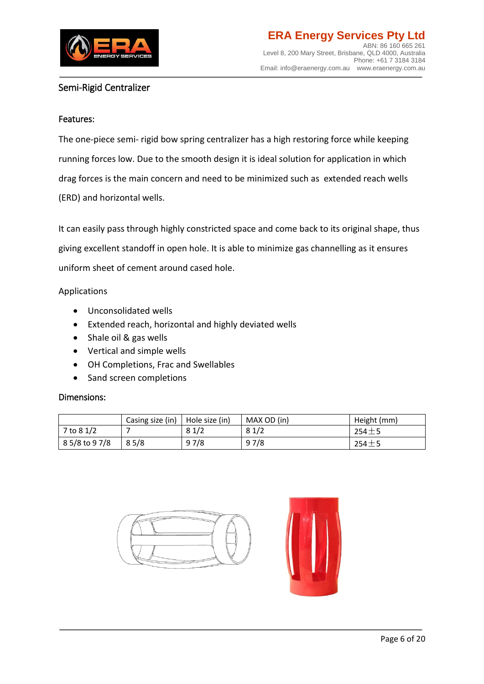

#### <span id="page-6-0"></span>Semi-Rigid Centralizer

#### <span id="page-6-1"></span>Features:

The one-piece semi- rigid bow spring centralizer has a high restoring force while keeping running forces low. Due to the smooth design it is ideal solution for application in which drag forces is the main concern and need to be minimized such as extended reach wells (ERD) and horizontal wells.

It can easily pass through highly constricted space and come back to its original shape, thus giving excellent standoff in open hole. It is able to minimize gas channelling as it ensures uniform sheet of cement around cased hole.

#### Applications

- Unconsolidated wells
- Extended reach, horizontal and highly deviated wells
- Shale oil & gas wells
- Vertical and simple wells
- OH Completions, Frac and Swellables
- Sand screen completions

#### <span id="page-6-2"></span>Dimensions:

|                | Casing size (in)   Hole size (in) |      | MAX OD (in) | Height (mm) |
|----------------|-----------------------------------|------|-------------|-------------|
| 7 to 8 1/2     |                                   | 81/2 | 81/2        | $254 \pm 5$ |
| 8 5/8 to 9 7/8 | 85/8                              | 97/8 | 9 7/8       | $254 + 5$   |



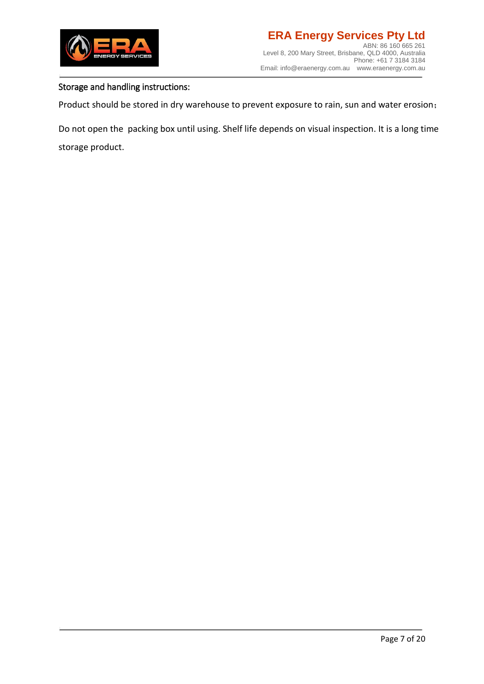

#### <span id="page-7-0"></span>Storage and handling instructions:

Product should be stored in dry warehouse to prevent exposure to rain, sun and water erosion;

Do not open the packing box until using. Shelf life depends on visual inspection. It is a long time storage product.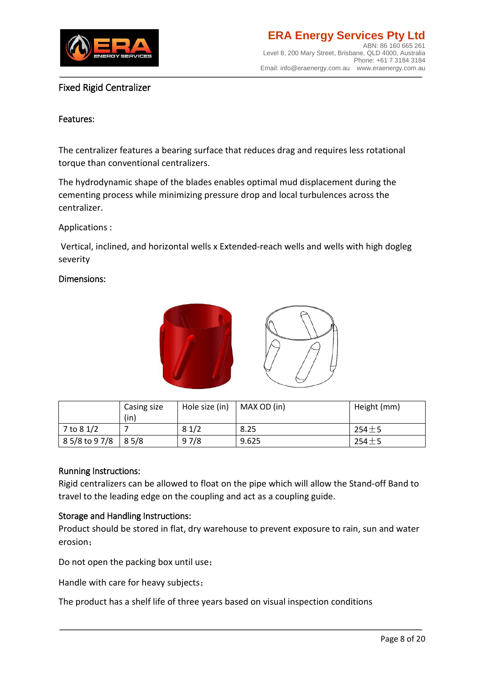

#### <span id="page-8-0"></span>Fixed Rigid Centralizer

#### <span id="page-8-1"></span>Features:

The centralizer features a bearing surface that reduces drag and requires less rotational torque than conventional centralizers.

The hydrodynamic shape of the blades enables optimal mud displacement during the cementing process while minimizing pressure drop and local turbulences across the centralizer.

Applications :

Vertical, inclined, and horizontal wells x Extended-reach wells and wells with high dogleg severity

#### <span id="page-8-2"></span>Dimensions:



|                        | Casing size<br>(in) | Hole size (in) | MAX OD (in) | Height (mm) |
|------------------------|---------------------|----------------|-------------|-------------|
| 7 to 8 1/2             |                     | 81/2           | 8.25        | $254 \pm 5$ |
| $85/8$ to 9 7/8 $85/8$ |                     | 97/8           | 9.625       | 254 $\pm$ 5 |

#### <span id="page-8-3"></span>Running Instructions:

Rigid centralizers can be allowed to float on the pipe which will allow the Stand-off Band to travel to the leading edge on the coupling and act as a coupling guide.

#### <span id="page-8-4"></span>Storage and Handling Instructions:

Product should be stored in flat, dry warehouse to prevent exposure to rain, sun and water erosion;

Do not open the packing box until use;

Handle with care for heavy subjects;

The product has a shelf life of three years based on visual inspection conditions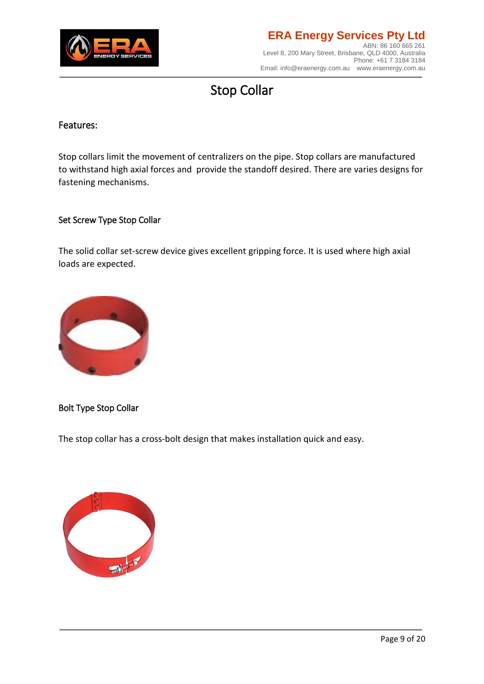



# Stop Collar

#### <span id="page-9-1"></span><span id="page-9-0"></span>Features:

Stop collars limit the movement of centralizers on the pipe. Stop collars are manufactured to withstand high axial forces and provide the standoff desired. There are varies designs for fastening mechanisms.

#### <span id="page-9-2"></span>Set Screw Type Stop Collar

The solid collar set-screw device gives excellent gripping force. It is used where high axial loads are expected.



#### <span id="page-9-3"></span>Bolt Type Stop Collar

The stop collar has a cross-bolt design that makes installation quick and easy.

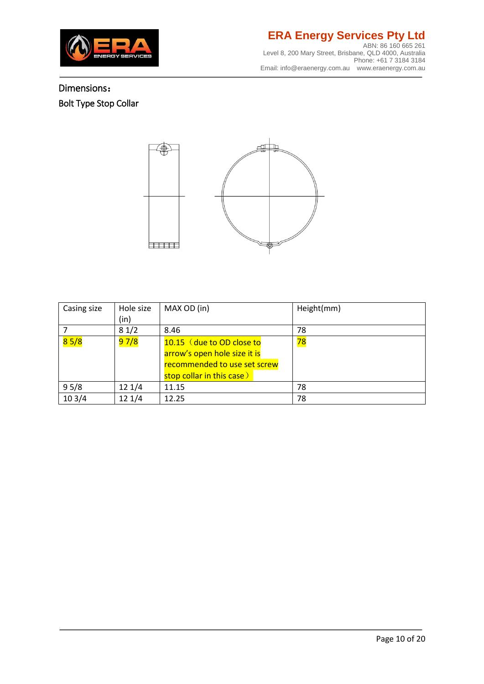

#### **ERA Energy Services Pty Ltd** ABN: 86 160 665 261 Level 8, 200 Mary Street, Brisbane, QLD 4000, Australia Phone: +61 7 3184 3184 Email: [info@eraenergy.com.au](mailto:info@eraenergy.com.au) [www.eraenergy.com.au](http://www.eraenergy.com.au/)

### <span id="page-10-1"></span><span id="page-10-0"></span>Dimensions: Bolt Type Stop Collar

縪 70 **Exposure** ⊕

| Casing size | Hole size<br>(in) | MAX OD (in)                                                                                                            | Height(mm)      |
|-------------|-------------------|------------------------------------------------------------------------------------------------------------------------|-----------------|
|             | 81/2              | 8.46                                                                                                                   | 78              |
| 85/8        | 97/8              | 10.15 (due to OD close to<br>arrow's open hole size it is<br>recommended to use set screw<br>stop collar in this case) | <mark>78</mark> |
| 95/8        | 121/4             | 11.15                                                                                                                  | 78              |
| 103/4       | 121/4             | 12.25                                                                                                                  | 78              |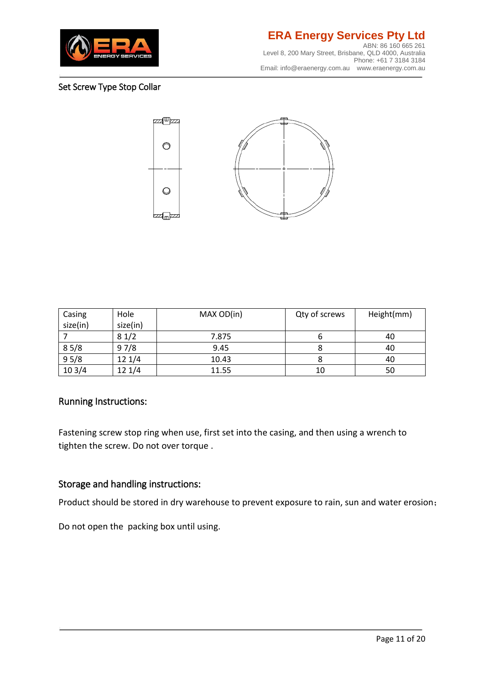

#### <span id="page-11-0"></span>Set Screw Type Stop Collar



| Casing   | Hole     | MAX OD(in) | Qty of screws | Height(mm) |
|----------|----------|------------|---------------|------------|
| size(in) | size(in) |            |               |            |
|          | 81/2     | 7.875      |               | 40         |
| 85/8     | 97/8     | 9.45       |               | 40         |
| 95/8     | 121/4    | 10.43      |               | 40         |
| 103/4    | 121/4    | 11.55      | 10            | 50         |

#### <span id="page-11-1"></span>Running Instructions:

Fastening screw stop ring when use, first set into the casing, and then using a wrench to tighten the screw. Do not over torque .

#### <span id="page-11-2"></span>Storage and handling instructions:

Product should be stored in dry warehouse to prevent exposure to rain, sun and water erosion;

Do not open the packing box until using.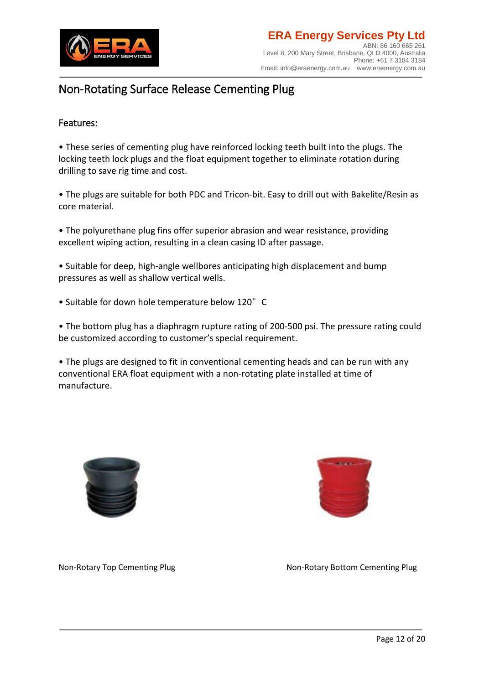

## <span id="page-12-0"></span>Non-Rotating Surface Release Cementing Plug

#### <span id="page-12-1"></span>Features:

• These series of cementing plug have reinforced locking teeth built into the plugs. The locking teeth lock plugs and the float equipment together to eliminate rotation during drilling to save rig time and cost.

• The plugs are suitable for both PDC and Tricon-bit. Easy to drill out with Bakelite/Resin as core material.

• The polyurethane plug fins offer superior abrasion and wear resistance, providing excellent wiping action, resulting in a clean casing ID after passage.

• Suitable for deep, high-angle wellbores anticipating high displacement and bump pressures as well as shallow vertical wells.

• Suitable for down hole temperature below 120°C

• The bottom plug has a diaphragm rupture rating of 200-500 psi. The pressure rating could be customized according to customer's special requirement.

• The plugs are designed to fit in conventional cementing heads and can be run with any conventional ERA float equipment with a non-rotating plate installed at time of manufacture.





Non-Rotary Top Cementing Plug Non-Rotary Bottom Cementing Plug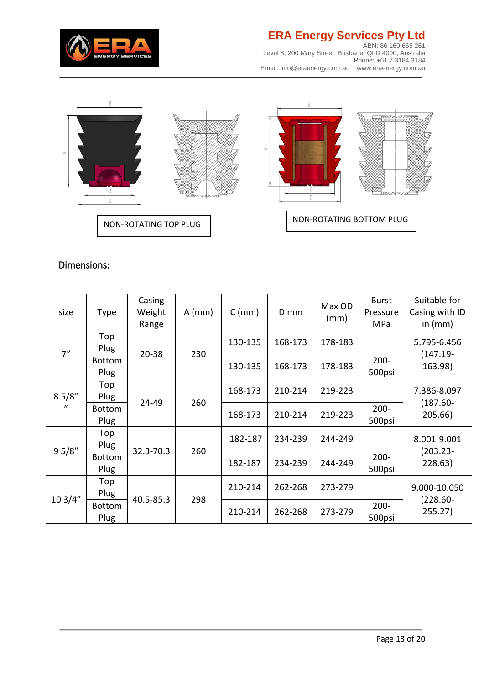

### **ERA Energy Services Pty Ltd**

ABN: 86 160 665 261 Level 8, 200 Mary Street, Brisbane, QLD 4000, Australia Phone: +61 7 3184 3184 Email: [info@eraenergy.com.au](mailto:info@eraenergy.com.au) [www.eraenergy.com.au](http://www.eraenergy.com.au/) 



#### <span id="page-13-0"></span>Dimensions:

| size              | <b>Type</b>           | Casing<br>Weight<br>Range | $A$ (mm) | $C$ (mm) | D mm    | Max OD<br>(mm) | <b>Burst</b><br>Pressure<br>MPa | Suitable for<br>Casing with ID<br>in $(mm)$ |
|-------------------|-----------------------|---------------------------|----------|----------|---------|----------------|---------------------------------|---------------------------------------------|
| 7"                | Top<br>Plug           |                           |          | 130-135  | 168-173 | 178-183        |                                 | 5.795-6.456                                 |
|                   | Bottom<br>Plug        | $20 - 38$                 | 230      | 130-135  | 168-173 | 178-183        | $200 -$<br>500psi               | $(147.19 -$<br>163.98)                      |
| 85/8"             | Top<br>Plug           |                           |          | 168-173  | 210-214 | 219-223        |                                 | 7.386-8.097                                 |
| $^{\prime\prime}$ | <b>Bottom</b><br>Plug | 24-49                     | 260      | 168-173  | 210-214 | 219-223        | $200 -$<br>500psi               | $(187.60 -$<br>205.66)                      |
|                   | Top<br>Plug           | 32.3-70.3                 | 260      | 182-187  | 234-239 | 244-249        |                                 | 8.001-9.001                                 |
| 95/8"             | <b>Bottom</b><br>Plug |                           |          | 182-187  | 234-239 | 244-249        | $200 -$<br>500psi               | $(203.23 -$<br>228.63)                      |
|                   | Top<br>Plug           | $40.5 - 85.3$             | 298      | 210-214  | 262-268 | 273-279        |                                 | 9.000-10.050                                |
| 103/4"            | <b>Bottom</b><br>Plug |                           |          | 210-214  | 262-268 | 273-279        | $200 -$<br>500psi               | $(228.60 -$<br>255.27                       |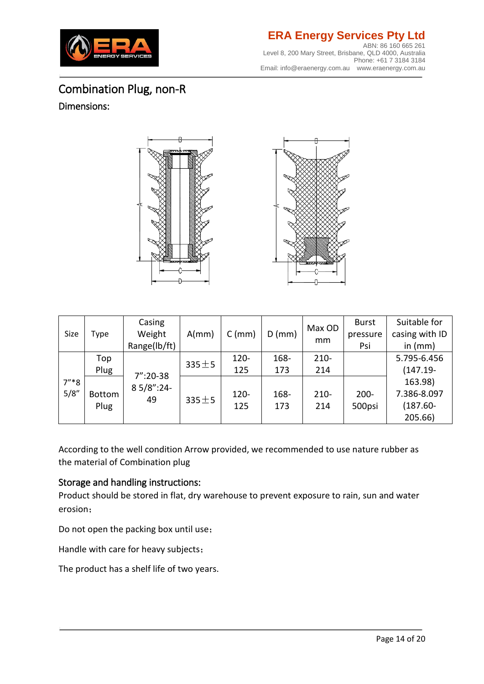

# <span id="page-14-0"></span>Combination Plug, non-R

#### <span id="page-14-1"></span>Dimensions:



| Size            | Type                  | Casing<br>Weight<br>Range(lb/ft) | $A/mm$ )    | $C$ (mm)       | $D$ (mm)    | Max OD<br>mm   | <b>Burst</b><br>pressure<br>Psi | Suitable for<br>casing with ID<br>in $(mm)$      |
|-----------------|-----------------------|----------------------------------|-------------|----------------|-------------|----------------|---------------------------------|--------------------------------------------------|
|                 | Top<br>Plug           |                                  | $335 + 5$   | $120 -$<br>125 | 168-<br>173 | $210 -$<br>214 |                                 | 5.795-6.456<br>$(147.19 -$                       |
| $7''*8$<br>5/8" | <b>Bottom</b><br>Plug | $7''$ :20-38<br>8 5/8":24-<br>49 | $335 \pm 5$ | $120 -$<br>125 | 168-<br>173 | $210 -$<br>214 | $200 -$<br>500psi               | 163.98)<br>7.386-8.097<br>$(187.60 -$<br>205.66) |

According to the well condition Arrow provided, we recommended to use nature rubber as the material of Combination plug

#### <span id="page-14-2"></span>Storage and handling instructions:

Product should be stored in flat, dry warehouse to prevent exposure to rain, sun and water erosion;

Do not open the packing box until use;

Handle with care for heavy subjects;

The product has a shelf life of two years.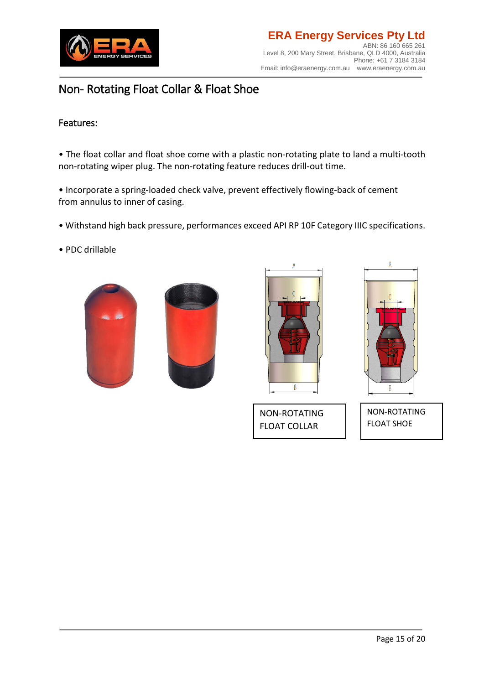

# <span id="page-15-0"></span>Non- Rotating Float Collar & Float Shoe

#### <span id="page-15-1"></span>Features:

• The float collar and float shoe come with a plastic non-rotating plate to land a multi-tooth non-rotating wiper plug. The non-rotating feature reduces drill-out time.

• Incorporate a spring-loaded check valve, prevent effectively flowing-back of cement from annulus to inner of casing.

- Withstand high back pressure, performances exceed API RP 10F Category IIIC specifications.
- PDC drillable





FLOAT COLLAR



NON-ROTATING FLOAT SHOE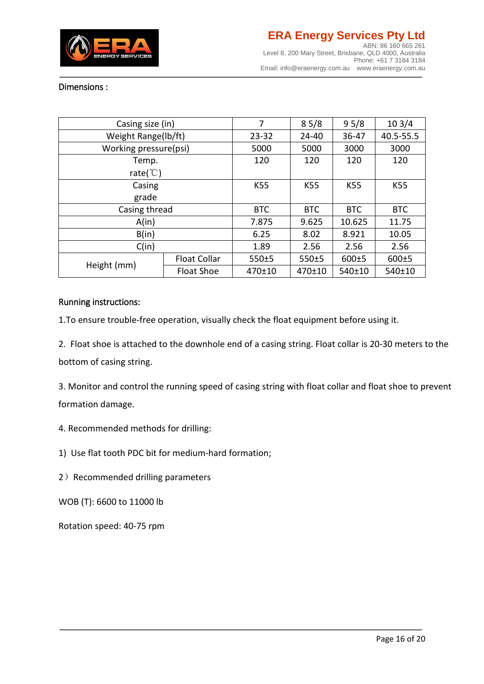

#### <span id="page-16-0"></span>Dimensions :

| Casing size (in)      | 7                 | 85/8         | 95/8       | 103/4      |            |
|-----------------------|-------------------|--------------|------------|------------|------------|
| Weight Range(lb/ft)   |                   | $23 - 32$    | 24-40      | 36-47      | 40.5-55.5  |
| Working pressure(psi) |                   | 5000         | 5000       | 3000       | 3000       |
| Temp.                 |                   | 120          | 120        | 120        | 120        |
| rate( $\mathcal{C}$ ) |                   |              |            |            |            |
| Casing                | K55               | K55          | K55        | K55        |            |
| grade                 |                   |              |            |            |            |
| Casing thread         |                   | <b>BTC</b>   | <b>BTC</b> | <b>BTC</b> | <b>BTC</b> |
| A(in)                 |                   | 7.875        | 9.625      | 10.625     | 11.75      |
| B(in)                 |                   | 6.25         | 8.02       | 8.921      | 10.05      |
| C(in)                 | 1.89              | 2.56         | 2.56       | 2.56       |            |
|                       | Float Collar      | 550±5        | 550±5      | $600 + 5$  | 600±5      |
| Height (mm)           | <b>Float Shoe</b> | $470 \pm 10$ | 470±10     | 540±10     | 540±10     |

#### <span id="page-16-1"></span>Running instructions:

1.To ensure trouble-free operation, visually check the float equipment before using it.

2. Float shoe is attached to the downhole end of a [casing string.](https://www.glossary.oilfield.slb.com/en/Terms/c/casing_string.aspx) Float collar is 20-30 meters to the bottom of casing string.

3. Monitor and control the running speed of casing string with float collar and float shoe to prevent formation damage.

- 4. Recommended methods for drilling:
- 1) Use flat tooth PDC bit for medium-hard formation;
- 2) Recommended drilling parameters

WOB (T): 6600 to 11000 lb

Rotation speed: 40-75 rpm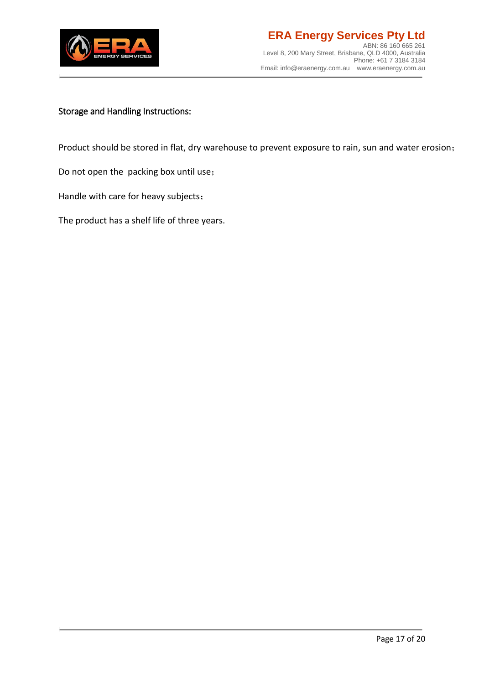

#### <span id="page-17-0"></span>Storage and Handling Instructions:

Product should be stored in flat, dry warehouse to prevent exposure to rain, sun and water erosion;

Do not open the packing box until use;

Handle with care for heavy subjects;

The product has a shelf life of three years.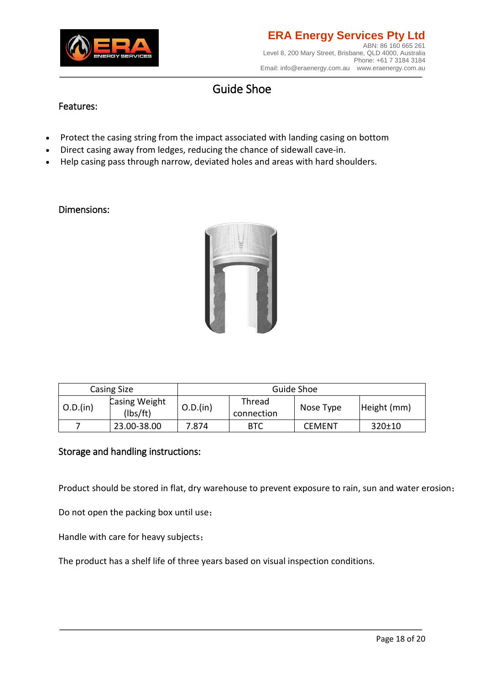

# Guide Shoe

#### <span id="page-18-1"></span><span id="page-18-0"></span>Features:

- Protect the casing string from the impact associated with landing casing on bottom
- Direct casing away from ledges, reducing the chance of sidewall cave-in.
- Help casing pass through narrow, deviated holes and areas with hard shoulders.

#### <span id="page-18-2"></span>Dimensions:



|          | <b>Casing Size</b>        | Guide Shoe |                      |               |              |
|----------|---------------------------|------------|----------------------|---------------|--------------|
| O.D.(in) | Casing Weight<br>(lbs/ft) | O.D.(in)   | Thread<br>connection | Nose Type     | Height (mm)  |
|          | 23.00-38.00               | 7.874      | <b>BTC</b>           | <b>CEMENT</b> | $320 \pm 10$ |

#### <span id="page-18-3"></span>Storage and handling instructions:

Product should be stored in flat, dry warehouse to prevent exposure to rain, sun and water erosion;

Do not open the packing box until use;

Handle with care for heavy subjects;

The product has a shelf life of three years based on visual inspection conditions.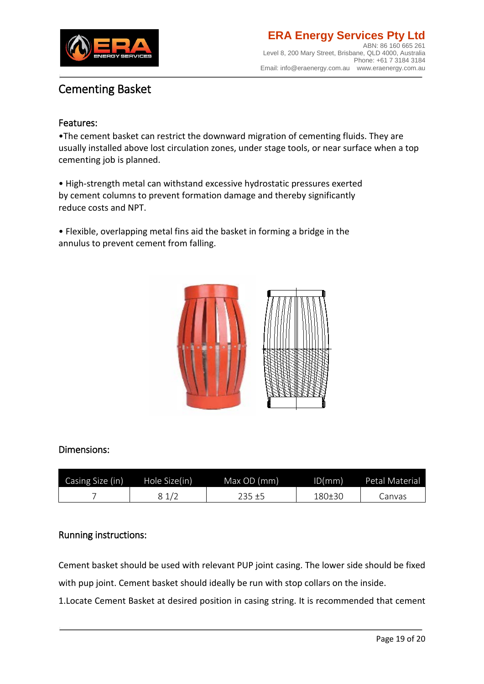

## <span id="page-19-0"></span>Cementing Basket

#### <span id="page-19-1"></span>Features:

•The cement basket can restrict the downward migration of cementing fluids. They are usually installed above lost circulation zones, under stage tools, or near surface when a top cementing job is planned.

• High-strength metal can withstand excessive hydrostatic pressures exerted by cement columns to prevent formation damage and thereby significantly reduce costs and NPT.

• Flexible, overlapping metal fins aid the basket in forming a bridge in the annulus to prevent cement from falling.



#### <span id="page-19-2"></span>Dimensions:

| Casing Size (in) | Hole Size(in) | Max OD (mm) | ID/mm) | Petal Material |
|------------------|---------------|-------------|--------|----------------|
|                  |               | 235 ±5      | 180±30 | Canvas         |

#### <span id="page-19-3"></span>Running instructions:

Cement basket should be used with relevant PUP joint casing. The lower side should be fixed with pup joint. Cement basket should ideally be run with stop collars on the inside.

1.Locate Cement Basket at desired position in casing string. It is recommended that cement